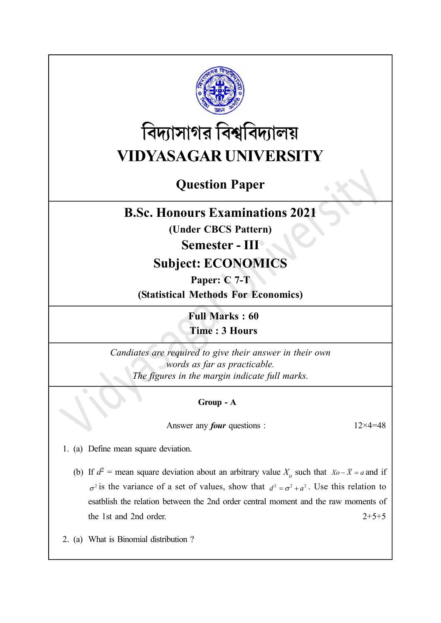

# বিদ্যাসাগর বিশ্ববিদ্যালয় VIDYASAGAR UNIVERSITY

# Question Paper

### B.Sc. Honours Examinations 2021

(Under CBCS Pattern)

#### Semester - III

## Subject: ECONOMICS

Paper: C 7-T

(Statistical Methods For Economics)

Full Marks : 60 Time : 3 Hours

Candiates are required to give their answer in their own words as far as practicable. The figures in the margin indicate full marks.

#### Group - A

Answer any *four* questions :  $12 \times 4 = 48$ 

1. (a) Define mean square deviation.

- (b) If  $d^2$  = mean square deviation about an arbitrary value  $X_0$  such that  $X_0 \overline{X} = a$  and if  $\sigma^2$  is the variance of a set of values, show that  $d^2 = \sigma^2 + a^2$ . Use this relation to esatblish the relation between the 2nd order central moment and the raw moments of the 1st and 2nd order.  $2+5+5$
- 2. (a) What is Binomial distribution ?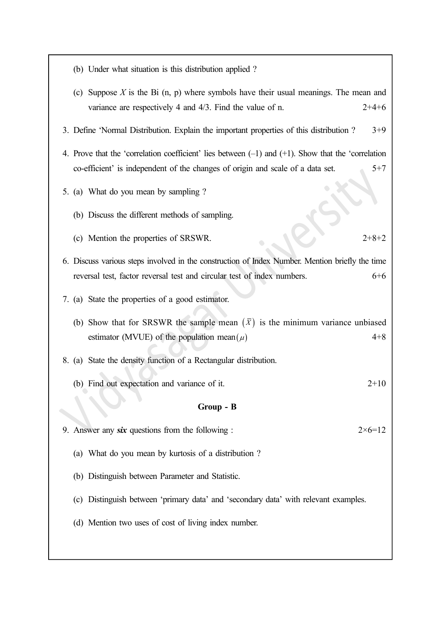- (b) Under what situation is this distribution applied ?
- (c) Suppose  $X$  is the Bi  $(n, p)$  where symbols have their usual meanings. The mean and variance are respectively 4 and  $4/3$ . Find the value of n.  $2+4+6$
- 3. Define 'Normal Distribution. Explain the important properties of this distribution ? 3+9
- 4. Prove that the 'correlation coefficient' lies between (–1) and (+1). Show that the 'correlation co-efficient' is independent of the changes of origin and scale of a data set.  $5+7$
- 5. (a) What do you mean by sampling ?
	- (b) Discuss the different methods of sampling.
	- (c) Mention the properties of SRSWR. 2+8+2
- 6. Discuss various steps involved in the construction of Index Number. Mention briefly the time reversal test, factor reversal test and circular test of index numbers. 6+6
- 7. (a) State the properties of a good estimator.
	- (b) Show that for SRSWR the sample mean  $(\bar{X})$  is the minimum variance unbiased estimator (MVUE) of the population mean  $(\mu)$  4+8
- 8. (a) State the density function of a Rectangular distribution.
	- (b) Find out expectation and variance of it. 2+10

#### Group - B

- 9. Answer any six questions from the following :  $2\times 6=12$ 
	- (a) What do you mean by kurtosis of a distribution ?
	- (b) Distinguish between Parameter and Statistic.
	- (c) Distinguish between 'primary data' and 'secondary data' with relevant examples.
	- (d) Mention two uses of cost of living index number.